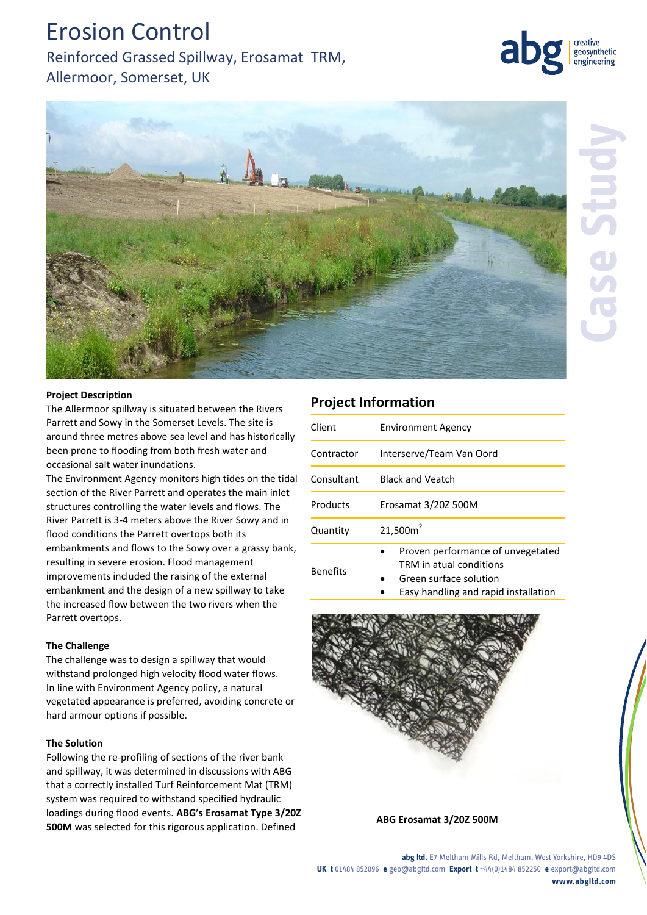# Erosion Control

# Reinforced Grassed Spillway, Erosamat TRM,

Allermoor, Somerset, UK



geosynthetic engineering

### **Project Description**

The Allermoor spillway is situated between the Rivers Parrett and Sowy in the Somerset Levels. The site is around three metres above sea level and has historically been prone to flooding from both fresh water and occasional salt water inundations.

The Environment Agency monitors high tides on the tidal section of the River Parrett and operates the main inlet structures controlling the water levels and flows. The River Parrett is 3-4 meters above the River Sowy and in flood conditions the Parrett overtops both its embankments and flows to the Sowy over a grassy bank, resulting in severe erosion. Flood management improvements included the raising of the external embankment and the design of a new spillway to take the increased flow between the two rivers when the Parrett overtops.

#### **The Challenge**

The challenge was to design a spillway that would withstand prolonged high velocity flood water flows. In line with Environment Agency policy, a natural vegetated appearance is preferred, avoiding concrete or hard armour options if possible.

### **The Solution**

Following the re-profiling of sections of the river bank and spillway, it was determined in discussions with ABG that a correctly installed Turf Reinforcement Mat (TRM) system was required to withstand specified hydraulic loadings during flood events. **ABG's Erosamat Type 3/20Z 500M** was selected for this rigorous application. Defined **ABG Erosamat 3/20Z 500M**

# **Project Information**

| Client          | <b>Environment Agency</b>                                                                                                      |  |  |  |  |
|-----------------|--------------------------------------------------------------------------------------------------------------------------------|--|--|--|--|
| Contractor      | Interserve/Team Van Oord                                                                                                       |  |  |  |  |
| Consultant      | <b>Black and Veatch</b>                                                                                                        |  |  |  |  |
| Products        | Erosamat 3/20Z 500M                                                                                                            |  |  |  |  |
| Quantity        | 21,500m <sup>2</sup>                                                                                                           |  |  |  |  |
| <b>Benefits</b> | Proven performance of unvegetated<br>TRM in atual conditions<br>Green surface solution<br>Easy handling and rapid installation |  |  |  |  |



**abg ltd.** E7 Meltham Mills Rd, Meltham, West Yorkshire, HD9 4DS **UK t** 01484 852096 **e** geo@abgltd.com **Export t** +44(0)1484 852250 **e** export@abgltd.com **www.abgltd.com**